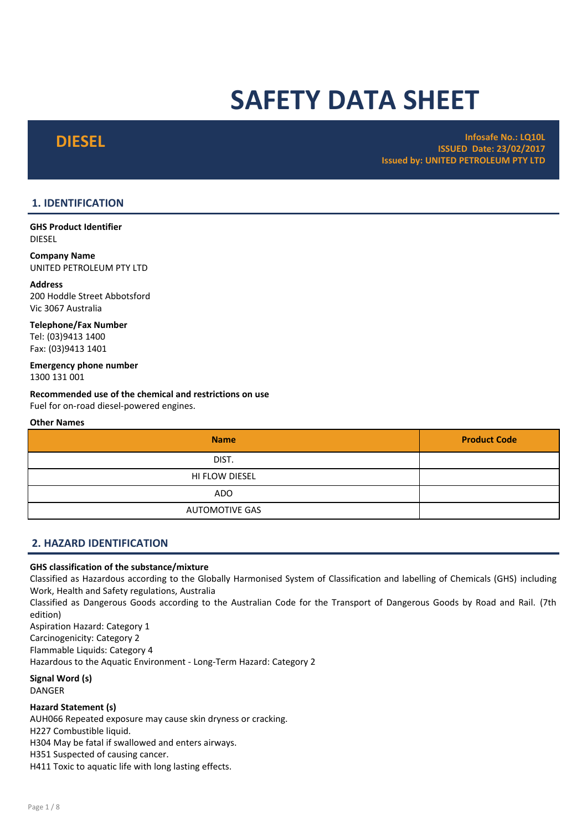# SAFETY DATA SHEET

DIESEL Infosafe No.: LQ10L ISSUED Date: 23/02/2017 Issued by: UNITED PETROLEUM PTY LTD

# 1. IDENTIFICATION

GHS Product Identifier DIESEL

Company Name UNITED PETROLEUM PTY LTD

Address 200 Hoddle Street Abbotsford Vic 3067 Australia

Telephone/Fax Number Tel: (03)9413 1400 Fax: (03)9413 1401

Emergency phone number 1300 131 001

Recommended use of the chemical and restrictions on use Fuel for on-road diesel-powered engines.

# Other Names

| <b>Name</b>           | <b>Product Code</b> |
|-----------------------|---------------------|
| DIST.                 |                     |
| HI FLOW DIESEL        |                     |
| <b>ADO</b>            |                     |
| <b>AUTOMOTIVE GAS</b> |                     |

# 2. HAZARD IDENTIFICATION

# GHS classification of the substance/mixture

Classified as Hazardous according to the Globally Harmonised System of Classification and labelling of Chemicals (GHS) including Work, Health and Safety regulations, Australia

Classified as Dangerous Goods according to the Australian Code for the Transport of Dangerous Goods by Road and Rail. (7th edition)

Aspiration Hazard: Category 1 Carcinogenicity: Category 2 Flammable Liquids: Category 4 Hazardous to the Aquatic Environment - Long-Term Hazard: Category 2

Signal Word (s) DANGER

# Hazard Statement (s)

AUH066 Repeated exposure may cause skin dryness or cracking.

H227 Combustible liquid.

H304 May be fatal if swallowed and enters airways.

H351 Suspected of causing cancer.

H411 Toxic to aquatic life with long lasting effects.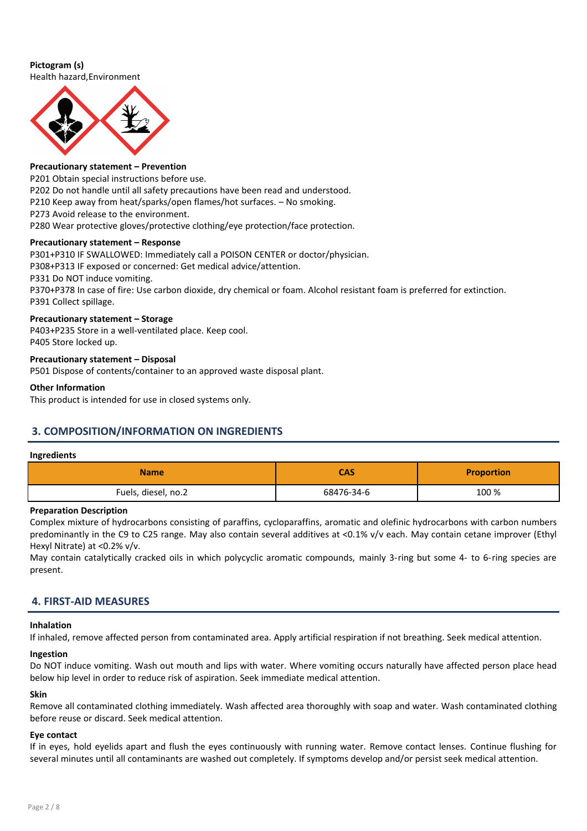# Pictogram (s)

Health hazard,Environment



# Precautionary statement – Prevention

P201 Obtain special instructions before use.

P202 Do not handle until all safety precautions have been read and understood.

P210 Keep away from heat/sparks/open flames/hot surfaces. – No smoking.

P273 Avoid release to the environment.

P280 Wear protective gloves/protective clothing/eye protection/face protection.

# Precautionary statement – Response

P301+P310 IF SWALLOWED: Immediately call a POISON CENTER or doctor/physician. P308+P313 IF exposed or concerned: Get medical advice/attention. P331 Do NOT induce vomiting. P370+P378 In case of fire: Use carbon dioxide, dry chemical or foam. Alcohol resistant foam is preferred for extinction. P391 Collect spillage.

# Precautionary statement – Storage

P403+P235 Store in a well-ventilated place. Keep cool. P405 Store locked up.

# Precautionary statement – Disposal

P501 Dispose of contents/container to an approved waste disposal plant.

# Other Information

This product is intended for use in closed systems only.

# 3. COMPOSITION/INFORMATION ON INGREDIENTS

# Ingredients

| <b>Name</b>         | <b>CAS</b> | <b>Proportion</b> |
|---------------------|------------|-------------------|
| Fuels, diesel, no.2 | 68476-34-6 | 100 %             |

# Preparation Description

Complex mixture of hydrocarbons consisting of paraffins, cycloparaffins, aromatic and olefinic hydrocarbons with carbon numbers predominantly in the C9 to C25 range. May also contain several additives at <0.1% v/v each. May contain cetane improver (Ethyl Hexyl Nitrate) at <0.2% v/v.

May contain catalytically cracked oils in which polycyclic aromatic compounds, mainly 3-ring but some 4- to 6-ring species are present.

# 4. FIRST-AID MEASURES

# Inhalation

If inhaled, remove affected person from contaminated area. Apply artificial respiration if not breathing. Seek medical attention.

# Ingestion

Do NOT induce vomiting. Wash out mouth and lips with water. Where vomiting occurs naturally have affected person place head below hip level in order to reduce risk of aspiration. Seek immediate medical attention.

# Skin

Remove all contaminated clothing immediately. Wash affected area thoroughly with soap and water. Wash contaminated clothing before reuse or discard. Seek medical attention.

#### Eye contact

If in eyes, hold eyelids apart and flush the eyes continuously with running water. Remove contact lenses. Continue flushing for several minutes until all contaminants are washed out completely. If symptoms develop and/or persist seek medical attention.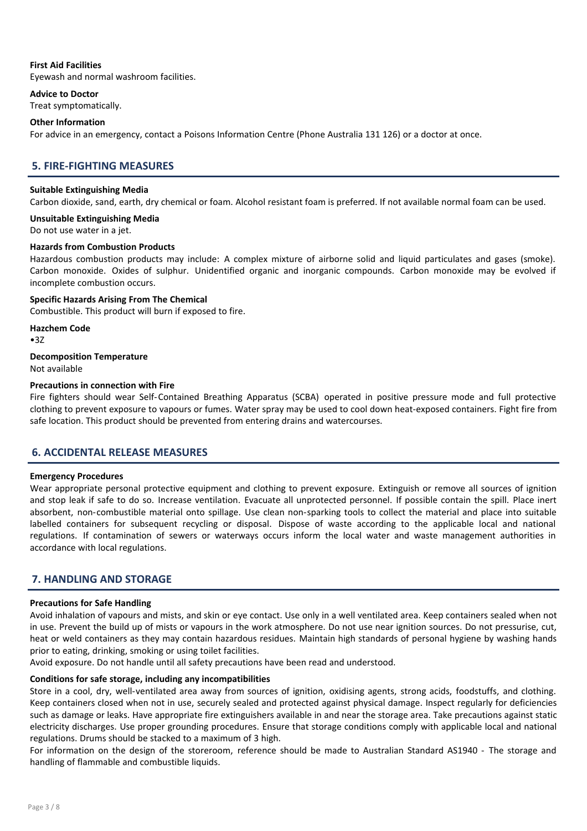# First Aid Facilities

Eyewash and normal washroom facilities.

Advice to Doctor

Treat symptomatically.

# Other Information

For advice in an emergency, contact a Poisons Information Centre (Phone Australia 131 126) or a doctor at once.

# 5. FIRE-FIGHTING MEASURES

# Suitable Extinguishing Media

Carbon dioxide, sand, earth, dry chemical or foam. Alcohol resistant foam is preferred. If not available normal foam can be used.

# Unsuitable Extinguishing Media

Do not use water in a jet.

# Hazards from Combustion Products

Hazardous combustion products may include: A complex mixture of airborne solid and liquid particulates and gases (smoke). Carbon monoxide. Oxides of sulphur. Unidentified organic and inorganic compounds. Carbon monoxide may be evolved if incomplete combustion occurs.

Specific Hazards Arising From The Chemical Combustible. This product will burn if exposed to fire.

Hazchem Code  $•3Z$ 

Decomposition Temperature

Not available

# Precautions in connection with Fire

Fire fighters should wear Self-Contained Breathing Apparatus (SCBA) operated in positive pressure mode and full protective clothing to prevent exposure to vapours or fumes. Water spray may be used to cool down heat-exposed containers. Fight fire from safe location. This product should be prevented from entering drains and watercourses.

# 6. ACCIDENTAL RELEASE MEASURES

#### Emergency Procedures

Wear appropriate personal protective equipment and clothing to prevent exposure. Extinguish or remove all sources of ignition and stop leak if safe to do so. Increase ventilation. Evacuate all unprotected personnel. If possible contain the spill. Place inert absorbent, non-combustible material onto spillage. Use clean non-sparking tools to collect the material and place into suitable labelled containers for subsequent recycling or disposal. Dispose of waste according to the applicable local and national regulations. If contamination of sewers or waterways occurs inform the local water and waste management authorities in accordance with local regulations.

# 7. HANDLING AND STORAGE

# Precautions for Safe Handling

Avoid inhalation of vapours and mists, and skin or eye contact. Use only in a well ventilated area. Keep containers sealed when not in use. Prevent the build up of mists or vapours in the work atmosphere. Do not use near ignition sources. Do not pressurise, cut, heat or weld containers as they may contain hazardous residues. Maintain high standards of personal hygiene by washing hands prior to eating, drinking, smoking or using toilet facilities.

Avoid exposure. Do not handle until all safety precautions have been read and understood.

# Conditions for safe storage, including any incompatibilities

Store in a cool, dry, well-ventilated area away from sources of ignition, oxidising agents, strong acids, foodstuffs, and clothing. Keep containers closed when not in use, securely sealed and protected against physical damage. Inspect regularly for deficiencies such as damage or leaks. Have appropriate fire extinguishers available in and near the storage area. Take precautions against static electricity discharges. Use proper grounding procedures. Ensure that storage conditions comply with applicable local and national regulations. Drums should be stacked to a maximum of 3 high.

For information on the design of the storeroom, reference should be made to Australian Standard AS1940 - The storage and handling of flammable and combustible liquids.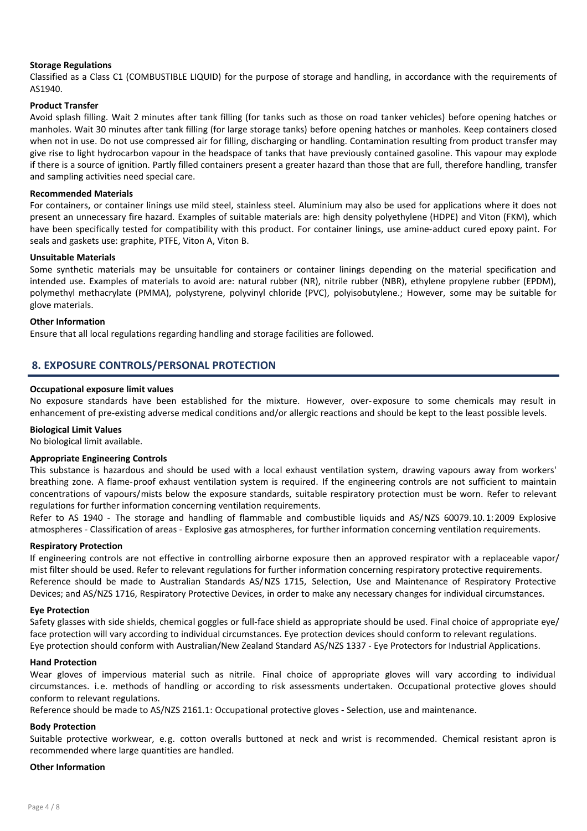# Storage Regulations

Classified as a Class C1 (COMBUSTIBLE LIQUID) for the purpose of storage and handling, in accordance with the requirements of AS1940.

# Product Transfer

Avoid splash filling. Wait 2 minutes after tank filling (for tanks such as those on road tanker vehicles) before opening hatches or manholes. Wait 30 minutes after tank filling (for large storage tanks) before opening hatches or manholes. Keep containers closed when not in use. Do not use compressed air for filling, discharging or handling. Contamination resulting from product transfer may give rise to light hydrocarbon vapour in the headspace of tanks that have previously contained gasoline. This vapour may explode if there is a source of ignition. Partly filled containers present a greater hazard than those that are full, therefore handling, transfer and sampling activities need special care.

# Recommended Materials

For containers, or container linings use mild steel, stainless steel. Aluminium may also be used for applications where it does not present an unnecessary fire hazard. Examples of suitable materials are: high density polyethylene (HDPE) and Viton (FKM), which have been specifically tested for compatibility with this product. For container linings, use amine-adduct cured epoxy paint. For seals and gaskets use: graphite, PTFE, Viton A, Viton B.

#### Unsuitable Materials

Some synthetic materials may be unsuitable for containers or container linings depending on the material specification and intended use. Examples of materials to avoid are: natural rubber (NR), nitrile rubber (NBR), ethylene propylene rubber (EPDM), polymethyl methacrylate (PMMA), polystyrene, polyvinyl chloride (PVC), polyisobutylene.; However, some may be suitable for glove materials.

# Other Information

Ensure that all local regulations regarding handling and storage facilities are followed.

# 8. EXPOSURE CONTROLS/PERSONAL PROTECTION

# Occupational exposure limit values

No exposure standards have been established for the mixture. However, over- exposure to some chemicals may result in enhancement of pre-existing adverse medical conditions and/or allergic reactions and should be kept to the least possible levels.

#### Biological Limit Values

No biological limit available.

# Appropriate Engineering Controls

This substance is hazardous and should be used with a local exhaust ventilation system, drawing vapours away from workers' breathing zone. A flame-proof exhaust ventilation system is required. If the engineering controls are not sufficient to maintain concentrations of vapours/mists below the exposure standards, suitable respiratory protection must be worn. Refer to relevant regulations for further information concerning ventilation requirements.

Refer to AS 1940 - The storage and handling of flammable and combustible liquids and AS/NZS 60079.10.1:2009 Explosive atmospheres - Classification of areas - Explosive gas atmospheres, for further information concerning ventilation requirements.

#### Respiratory Protection

If engineering controls are not effective in controlling airborne exposure then an approved respirator with a replaceable vapor/ mist filter should be used. Refer to relevant regulations for further information concerning respiratory protective requirements. Reference should be made to Australian Standards AS/NZS 1715, Selection, Use and Maintenance of Respiratory Protective Devices; and AS/NZS 1716, Respiratory Protective Devices, in order to make any necessary changes for individual circumstances.

#### Eye Protection

Safety glasses with side shields, chemical goggles or full-face shield as appropriate should be used. Final choice of appropriate eye/ face protection will vary according to individual circumstances. Eye protection devices should conform to relevant regulations. Eye protection should conform with Australian/New Zealand Standard AS/NZS 1337 - Eye Protectors for Industrial Applications.

#### Hand Protection

Wear gloves of impervious material such as nitrile. Final choice of appropriate gloves will vary according to individual circumstances. i.e. methods of handling or according to risk assessments undertaken. Occupational protective gloves should conform to relevant regulations.

Reference should be made to AS/NZS 2161.1: Occupational protective gloves - Selection, use and maintenance.

# Body Protection

Suitable protective workwear, e.g. cotton overalls buttoned at neck and wrist is recommended. Chemical resistant apron is recommended where large quantities are handled.

#### Other Information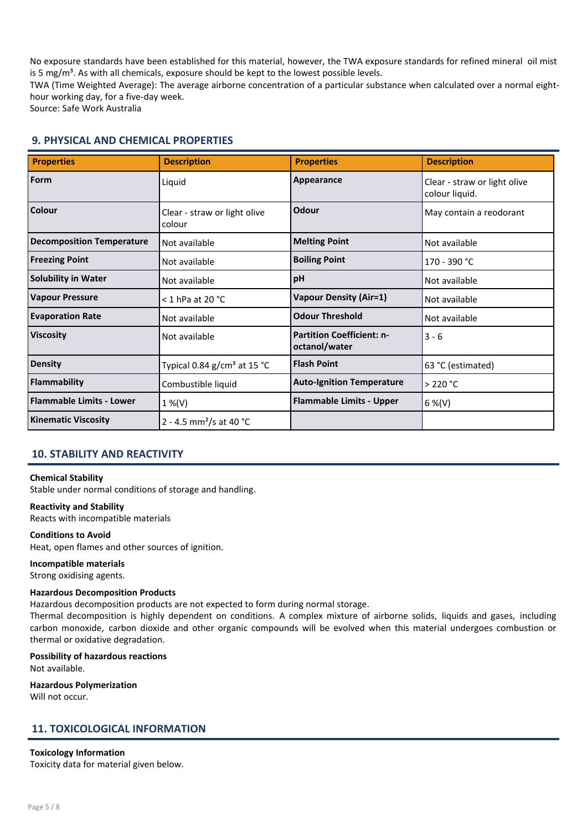No exposure standards have been established for this material, however, the TWA exposure standards for refined mineral oil mist is 5 mg/ $m<sup>3</sup>$ . As with all chemicals, exposure should be kept to the lowest possible levels.

TWA (Time Weighted Average): The average airborne concentration of a particular substance when calculated over a normal eighthour working day, for a five-day week.

Source: Safe Work Australia

# 9. PHYSICAL AND CHEMICAL PROPERTIES

| <b>Properties</b>                | <b>Description</b>                     | <b>Properties</b>                                 | <b>Description</b>                             |
|----------------------------------|----------------------------------------|---------------------------------------------------|------------------------------------------------|
| <b>Form</b>                      | Liquid                                 | Appearance                                        | Clear - straw or light olive<br>colour liquid. |
| Colour                           | Clear - straw or light olive<br>colour | Odour                                             | May contain a reodorant                        |
| <b>Decomposition Temperature</b> | Not available                          | <b>Melting Point</b>                              | Not available                                  |
| <b>Freezing Point</b>            | Not available                          | <b>Boiling Point</b>                              | 170 - 390 °C                                   |
| <b>Solubility in Water</b>       | Not available                          | pH                                                | Not available                                  |
| <b>Vapour Pressure</b>           | $<$ 1 hPa at 20 $^{\circ}$ C           | <b>Vapour Density (Air=1)</b>                     | Not available                                  |
| <b>Evaporation Rate</b>          | Not available                          | <b>Odour Threshold</b>                            | Not available                                  |
| <b>Viscosity</b>                 | Not available                          | <b>Partition Coefficient: n-</b><br>octanol/water | $3 - 6$                                        |
| <b>Density</b>                   | Typical 0.84 $g/cm3$ at 15 °C          | <b>Flash Point</b>                                | 63 °C (estimated)                              |
| <b>Flammability</b>              | Combustible liquid                     | <b>Auto-Ignition Temperature</b>                  | $>$ 220 °C                                     |
| <b>Flammable Limits - Lower</b>  | $1\%$ (V)                              | <b>Flammable Limits - Upper</b>                   | $6\%$ (V)                                      |
| <b>Kinematic Viscosity</b>       | 2 - 4.5 mm <sup>2</sup> /s at 40 °C    |                                                   |                                                |

# 10. STABILITY AND REACTIVITY

# Chemical Stability

Stable under normal conditions of storage and handling.

Reactivity and Stability

Reacts with incompatible materials

# Conditions to Avoid

Heat, open flames and other sources of ignition.

# Incompatible materials

Strong oxidising agents.

# Hazardous Decomposition Products

Hazardous decomposition products are not expected to form during normal storage.

Thermal decomposition is highly dependent on conditions. A complex mixture of airborne solids, liquids and gases, including carbon monoxide, carbon dioxide and other organic compounds will be evolved when this material undergoes combustion or thermal or oxidative degradation.

# Possibility of hazardous reactions

Not available.

Hazardous Polymerization Will not occur.

# 11. TOXICOLOGICAL INFORMATION

Toxicology Information Toxicity data for material given below.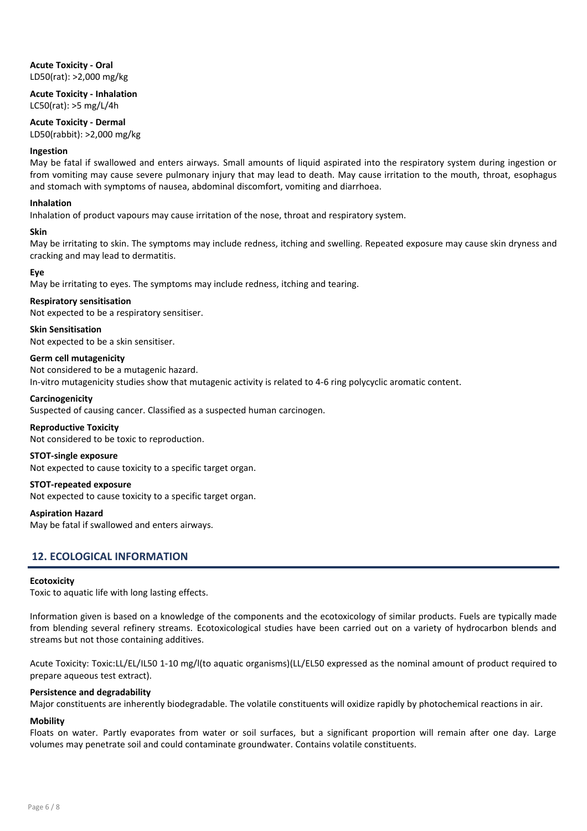Acute Toxicity - Oral LD50(rat): >2,000 mg/kg

Acute Toxicity - Inhalation LC50(rat): >5 mg/L/4h

# Acute Toxicity - Dermal

LD50(rabbit): >2,000 mg/kg

#### Ingestion

May be fatal if swallowed and enters airways. Small amounts of liquid aspirated into the respiratory system during ingestion or from vomiting may cause severe pulmonary injury that may lead to death. May cause irritation to the mouth, throat, esophagus and stomach with symptoms of nausea, abdominal discomfort, vomiting and diarrhoea.

# Inhalation

Inhalation of product vapours may cause irritation of the nose, throat and respiratory system.

# Skin

May be irritating to skin. The symptoms may include redness, itching and swelling. Repeated exposure may cause skin dryness and cracking and may lead to dermatitis.

# Eye

May be irritating to eyes. The symptoms may include redness, itching and tearing.

# Respiratory sensitisation

Not expected to be a respiratory sensitiser.

# Skin Sensitisation

Not expected to be a skin sensitiser.

# Germ cell mutagenicity

Not considered to be a mutagenic hazard. In-vitro mutagenicity studies show that mutagenic activity is related to 4-6 ring polycyclic aromatic content.

# **Carcinogenicity**

Suspected of causing cancer. Classified as a suspected human carcinogen.

#### Reproductive Toxicity

Not considered to be toxic to reproduction.

#### STOT-single exposure

Not expected to cause toxicity to a specific target organ.

# STOT-repeated exposure

Not expected to cause toxicity to a specific target organ.

#### Aspiration Hazard

May be fatal if swallowed and enters airways.

# 12. ECOLOGICAL INFORMATION

#### **Ecotoxicity**

Toxic to aquatic life with long lasting effects.

Information given is based on a knowledge of the components and the ecotoxicology of similar products. Fuels are typically made from blending several refinery streams. Ecotoxicological studies have been carried out on a variety of hydrocarbon blends and streams but not those containing additives.

Acute Toxicity: Toxic:LL/EL/IL50 1-10 mg/l(to aquatic organisms)(LL/EL50 expressed as the nominal amount of product required to prepare aqueous test extract).

#### Persistence and degradability

Major constituents are inherently biodegradable. The volatile constituents will oxidize rapidly by photochemical reactions in air.

#### Mobility

Floats on water. Partly evaporates from water or soil surfaces, but a significant proportion will remain after one day. Large volumes may penetrate soil and could contaminate groundwater. Contains volatile constituents.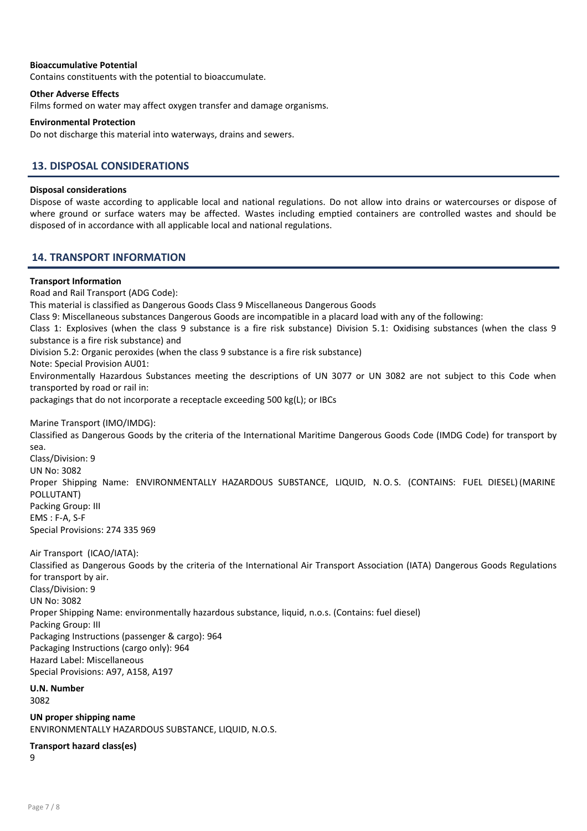# Bioaccumulative Potential

Contains constituents with the potential to bioaccumulate.

# Other Adverse Effects

Films formed on water may affect oxygen transfer and damage organisms.

# Environmental Protection

Do not discharge this material into waterways, drains and sewers.

# 13. DISPOSAL CONSIDERATIONS

# Disposal considerations

Dispose of waste according to applicable local and national regulations. Do not allow into drains or watercourses or dispose of where ground or surface waters may be affected. Wastes including emptied containers are controlled wastes and should be disposed of in accordance with all applicable local and national regulations.

# 14. TRANSPORT INFORMATION

# Transport Information

Road and Rail Transport (ADG Code): This material is classified as Dangerous Goods Class 9 Miscellaneous Dangerous Goods Class 9: Miscellaneous substances Dangerous Goods are incompatible in a placard load with any of the following: Class 1: Explosives (when the class 9 substance is a fire risk substance) Division 5.1: Oxidising substances (when the class 9 substance is a fire risk substance) and Division 5.2: Organic peroxides (when the class 9 substance is a fire risk substance) Note: Special Provision AU01: Environmentally Hazardous Substances meeting the descriptions of UN 3077 or UN 3082 are not subject to this Code when transported by road or rail in: packagings that do not incorporate a receptacle exceeding 500 kg(L); or IBCs Marine Transport (IMO/IMDG): Classified as Dangerous Goods by the criteria of the International Maritime Dangerous Goods Code (IMDG Code) for transport by sea. Class/Division: 9 UN No: 3082 Proper Shipping Name: ENVIRONMENTALLY HAZARDOUS SUBSTANCE, LIQUID, N. O. S. (CONTAINS: FUEL DIESEL) (MARINE POLLUTANT) Packing Group: III EMS : F-A, S-F Special Provisions: 274 335 969 Air Transport (ICAO/IATA):

Classified as Dangerous Goods by the criteria of the International Air Transport Association (IATA) Dangerous Goods Regulations for transport by air. Class/Division: 9 UN No: 3082 Proper Shipping Name: environmentally hazardous substance, liquid, n.o.s. (Contains: fuel diesel) Packing Group: III Packaging Instructions (passenger & cargo): 964 Packaging Instructions (cargo only): 964 Hazard Label: Miscellaneous Special Provisions: A97, A158, A197

# U.N. Number

3082

UN proper shipping name ENVIRONMENTALLY HAZARDOUS SUBSTANCE, LIQUID, N.O.S.

# Transport hazard class(es)

9